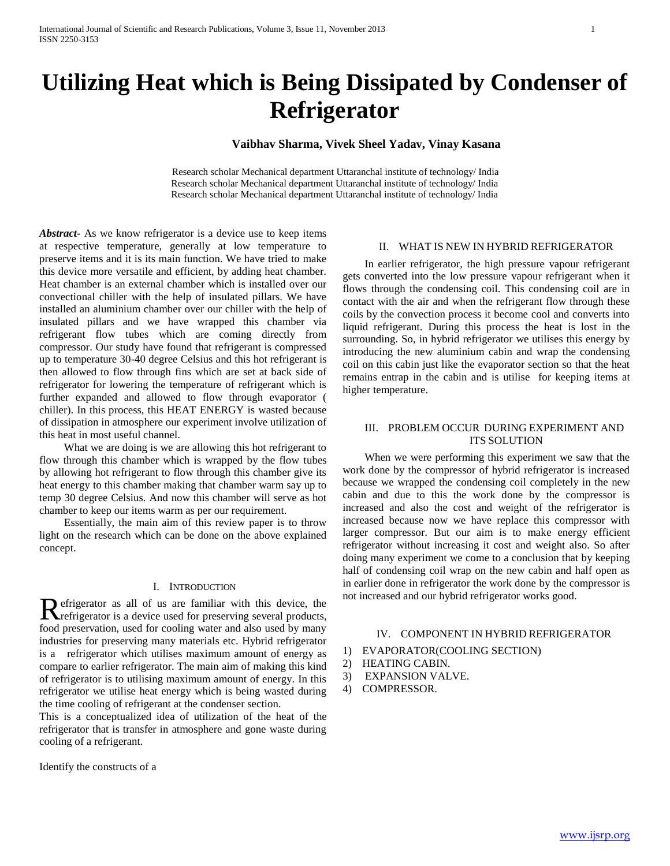# **Utilizing Heat which is Being Dissipated by Condenser of Refrigerator**

# **Vaibhav Sharma, Vivek Sheel Yadav, Vinay Kasana**

Research scholar Mechanical department Uttaranchal institute of technology/ India Research scholar Mechanical department Uttaranchal institute of technology/ India Research scholar Mechanical department Uttaranchal institute of technology/ India

*Abstract***-** As we know refrigerator is a device use to keep items at respective temperature, generally at low temperature to preserve items and it is its main function. We have tried to make this device more versatile and efficient, by adding heat chamber. Heat chamber is an external chamber which is installed over our convectional chiller with the help of insulated pillars. We have installed an aluminium chamber over our chiller with the help of insulated pillars and we have wrapped this chamber via refrigerant flow tubes which are coming directly from compressor. Our study have found that refrigerant is compressed up to temperature 30-40 degree Celsius and this hot refrigerant is then allowed to flow through fins which are set at back side of refrigerator for lowering the temperature of refrigerant which is further expanded and allowed to flow through evaporator ( chiller). In this process, this HEAT ENERGY is wasted because of dissipation in atmosphere our experiment involve utilization of this heat in most useful channel.

 What we are doing is we are allowing this hot refrigerant to flow through this chamber which is wrapped by the flow tubes by allowing hot refrigerant to flow through this chamber give its heat energy to this chamber making that chamber warm say up to temp 30 degree Celsius. And now this chamber will serve as hot chamber to keep our items warm as per our requirement.

 Essentially, the main aim of this review paper is to throw light on the research which can be done on the above explained concept.

#### I. INTRODUCTION

efrigerator as all of us are familiar with this device, the Refrigerator as all of us are familiar with this device, the refrigerator is a device used for preserving several products, food preservation, used for cooling water and also used by many industries for preserving many materials etc. Hybrid refrigerator is a refrigerator which utilises maximum amount of energy as compare to earlier refrigerator. The main aim of making this kind of refrigerator is to utilising maximum amount of energy. In this refrigerator we utilise heat energy which is being wasted during the time cooling of refrigerant at the condenser section.

This is a conceptualized idea of utilization of the heat of the refrigerator that is transfer in atmosphere and gone waste during cooling of a refrigerant.

Identify the constructs of a

### II. WHAT IS NEW IN HYBRID REFRIGERATOR

 In earlier refrigerator, the high pressure vapour refrigerant gets converted into the low pressure vapour refrigerant when it flows through the condensing coil. This condensing coil are in contact with the air and when the refrigerant flow through these coils by the convection process it become cool and converts into liquid refrigerant. During this process the heat is lost in the surrounding. So, in hybrid refrigerator we utilises this energy by introducing the new aluminium cabin and wrap the condensing coil on this cabin just like the evaporator section so that the heat remains entrap in the cabin and is utilise for keeping items at higher temperature.

## III. PROBLEM OCCUR DURING EXPERIMENT AND ITS SOLUTION

 When we were performing this experiment we saw that the work done by the compressor of hybrid refrigerator is increased because we wrapped the condensing coil completely in the new cabin and due to this the work done by the compressor is increased and also the cost and weight of the refrigerator is increased because now we have replace this compressor with larger compressor. But our aim is to make energy efficient refrigerator without increasing it cost and weight also. So after doing many experiment we come to a conclusion that by keeping half of condensing coil wrap on the new cabin and half open as in earlier done in refrigerator the work done by the compressor is not increased and our hybrid refrigerator works good.

#### IV. COMPONENT IN HYBRID REFRIGERATOR

- 1) EVAPORATOR(COOLING SECTION)
- 2) HEATING CABIN.
- 3) EXPANSION VALVE.
- 4) COMPRESSOR.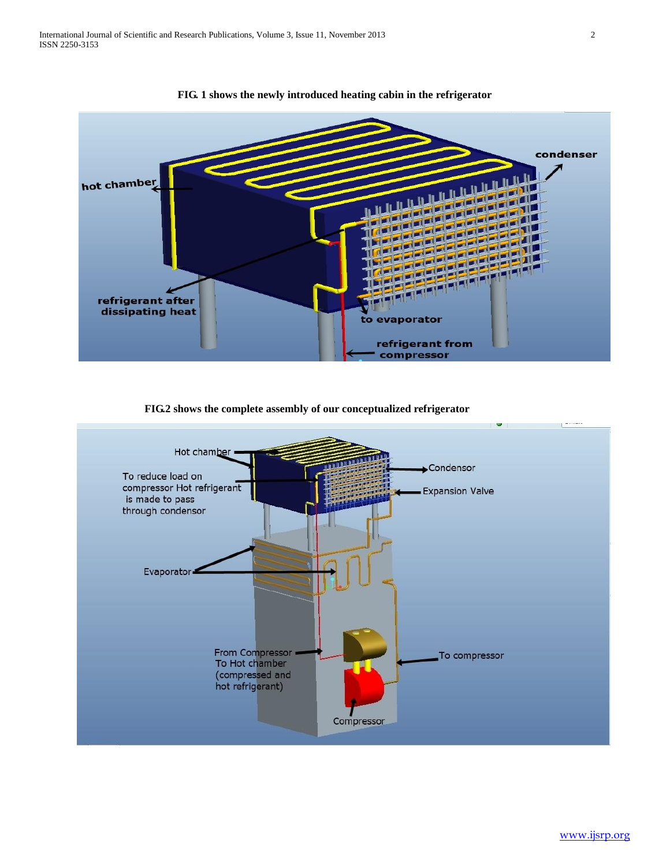

**FIG. 1 shows the newly introduced heating cabin in the refrigerator**



 **FIG.2 shows the complete assembly of our conceptualized refrigerator**